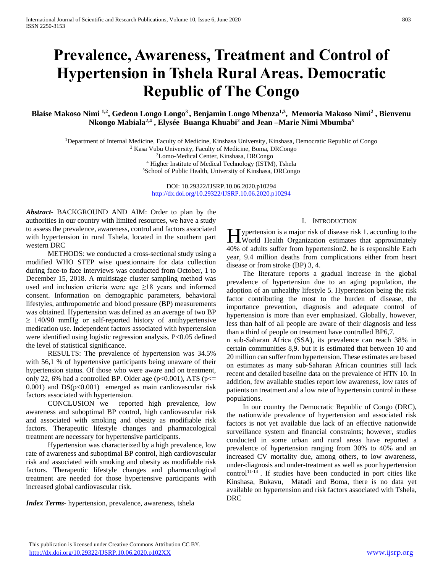# **Prevalence, Awareness, Treatment and Control of Hypertension in Tshela Rural Areas. Democratic Republic of The Congo**

**Blaise Makoso Nimi 1,2, Gedeon Longo Longo<sup>3</sup>, Benjamin Longo Mbenza1,3, Memoria Makoso Nimi<sup>2</sup> , Bienvenu Nkongo Mabiala2,4 , Elysée Buanga Khuabi<sup>2</sup> and Jean –Marie Nimi Mbumba<sup>5</sup>**

<sup>1</sup>Department of Internal Medicine, Faculty of Medicine, Kinshasa University, Kinshasa, Democratic Republic of Congo

<sup>2</sup> Kasa Vubu University, Faculty of Medicine, Boma, DRCongo

<sup>3</sup>Lomo-Medical Center, Kinshasa, DRCongo

<sup>4</sup> Higher Institute of Medical Technology (ISTM), Tshela <sup>5</sup>School of Public Health, University of Kinshasa, DRCongo

DOI: 10.29322/IJSRP.10.06.2020.p10294 <http://dx.doi.org/10.29322/IJSRP.10.06.2020.p10294>

*Abstract***-** BACKGROUND AND AIM: Order to plan by the authorities in our country with limited resources, we have a study to assess the prevalence, awareness, control and factors associated with hypertension in rural Tshela, located in the southern part western DRC

 METHODS: we conducted a cross-sectional study using a modified WHO STEP wise questionnaire for data collection during face-to face interviews was conducted from October, 1 to December 15, 2018. A multistage cluster sampling method was used and inclusion criteria were age  $\geq$ 18 years and informed consent. Information on demographic parameters, behavioral lifestyles, anthropometric and blood pressure (BP) measurements was obtained. Hypertension was defined as an average of two BP  $\geq$  140/90 mmHg or self-reported history of antihypertensive medication use. Independent factors associated with hypertension were identified using logistic regression analysis. P<0.05 defined the level of statistical significance.

 RESULTS: The prevalence of hypertension was 34.5% with 56,1 % of hypertensive participants being unaware of their hypertension status. Of those who were aware and on treatment, only 22, 6% had a controlled BP. Older age ( $p<0.001$ ), ATS ( $p<=$ 0.001) and  $DS(p<0.001)$  emerged as main cardiovascular risk factors associated with hypertension.

 CONCLUSION we reported high prevalence, low awareness and suboptimal BP control, high cardiovascular risk and associated with smoking and obesity as modifiable risk factors. Therapeutic lifestyle changes and pharmacological treatment are necessary for hypertensive participants.

 Hypertension was characterized by a high prevalence, low rate of awareness and suboptimal BP control, high cardiovascular risk and associated with smoking and obesity as modifiable risk factors. Therapeutic lifestyle changes and pharmacological treatment are needed for those hypertensive participants with increased global cardiovascular risk.

*Index Terms*- hypertension, prevalence, awareness, tshela

#### I. INTRODUCTION

ypertension is a major risk of disease risk 1. according to the **H** ypertension is a major risk of disease risk 1. according to the World Health Organization estimates that approximately 40% of adults suffer from hypertension2. he is responsible Each year, 9.4 million deaths from complications either from heart disease or from stroke (BP) 3, 4.

 The literature reports a gradual increase in the global prevalence of hypertension due to an aging population, the adoption of an unhealthy lifestyle 5. Hypertension being the risk factor contributing the most to the burden of disease, the importance prevention, diagnosis and adequate control of hypertension is more than ever emphasized. Globally, however, less than half of all people are aware of their diagnosis and less than a third of people on treatment have controlled BP6,7.

n sub-Saharan Africa (SSA), its prevalence can reach 38% in certain communities 8,9. but it is estimated that between 10 and 20 million can suffer from hypertension. These estimates are based on estimates as many sub-Saharan African countries still lack recent and detailed baseline data on the prevalence of HTN 10. In addition, few available studies report low awareness, low rates of patients on treatment and a low rate of hypertensin control in these populations.

 In our country the Democratic Republic of Congo (DRC), the nationwide prevalence of hypertension and associated risk factors is not yet available due lack of an effective nationwide surveillance system and financial constraints; however, studies conducted in some urban and rural areas have reported a prevalence of hypertension ranging from 30% to 40% and an increased CV mortality due, among others, to low awareness, under-diagnosis and under-treatment as well as poor hypertension  $control^{11-\overline{14}}$ . If studies have been conducted in port cities like Kinshasa, Bukavu, Matadi and Boma, there is no data yet available on hypertension and risk factors associated with Tshela, DRC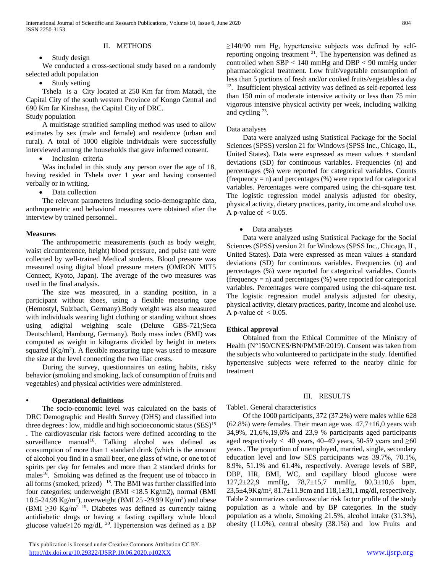#### II. METHODS

• Study design

 We conducted a cross-sectional study based on a randomly selected adult population

Study setting

 Tshela is a City located at 250 Km far from Matadi, the Capital City of the south western Province of Kongo Central and 690 Km far Kinshasa, the Capital City of DRC.

Study population

 A multistage stratified sampling method was used to allow estimates by sex (male and female) and residence (urban and rural). A total of 1000 eligible individuals were successfully interviewed among the households that gave informed consent.

Inclusion criteria

 Was included in this study any person over the age of 18, having resided in Tshela over 1 year and having consented verbally or in writing.

• Data collection

 The relevant parameters including socio-demographic data, anthropometric and behavioral measures were obtained after the interview by trained personnel..

#### **Measures**

 The anthropometric measurements (such as body weight, waist circumference, height) blood pressure, and pulse rate were collected by well-trained Medical students. Blood pressure was measured using digital blood pressure meters (OMRON MIT5 Connect, Kyoto, Japan). The average of the two measures was used in the final analysis.

 The size was measured, in a standing position, in a participant without shoes, using a flexible measuring tape (Hemostyl, Sulzbach, Germany).Body weight was also measured with individuals wearing light clothing or standing without shoes using adigital weighing scale (Deluxe GBS-721;Seca Deutschland, Hamburg, Germany). Body mass index (BMI) was computed as weight in kilograms divided by height in meters squared  $(Kg/m<sup>2</sup>)$ . A flexible measuring tape was used to measure the size at the level connecting the two iliac crests.

 During the survey, questionnaires on eating habits, risky behavior (smoking and smoking, lack of consumption of fruits and vegetables) and physical activities were administered.

#### **• Operational definitions**

 The socio-economic level was calculated on the basis of DRC Demographic and Health Survey (DHS) and classified into three degrees : low, middle and high socioeconomic status (SES)<sup>15</sup> . The cardiovascular risk factors were defined according to the surveillance manual<sup>16</sup>. Talking alcohol was defined as consumption of more than 1 standard drink (which is the amount of alcohol you find in a small beer, one glass of wine, or one tot of spirits per day for females and more than 2 standard drinks for males<sup>16</sup>. Smoking was defined as the frequent use of tobacco in all forms (smoked, prized)  $18$ . The BMI was further classified into four categories; underweight (BMI <18.5 Kg/m2), normal (BMI 18.5-24.99 Kg/m<sup>2</sup>), overweight (BMI 25 -29.99 Kg/m<sup>2</sup>) and obese (BMI ≥30 Kg/m<sup>2 19</sup>. Diabetes was defined as currently taking antidiabetic drugs or having a fasting capillary whole blood glucose value≥126 mg/dL <sup>20</sup>. Hypertension was defined as a BP

 $\geq$ 140/90 mm Hg, hypertensive subjects was defined by selfreporting ongoing treatment  $2<sup>1</sup>$ . The hypertension was defined as controlled when  $SBP < 140$  mmHg and  $DBP < 90$  mmHg under pharmacological treatment. Low fruit/vegetable consumption of less than 5 portions of fresh and/or cooked fruits/vegetables a day <sup>22</sup>. Insufficient physical activity was defined as self-reported less than 150 min of moderate intensive activity or less than 75 min vigorous intensive physical activity per week, including walking and cycling <sup>23</sup>.

#### Data analyses

 Data were analyzed using Statistical Package for the Social Sciences (SPSS) version 21 for Windows (SPSS Inc., Chicago, IL, United States). Data were expressed as mean values ± standard deviations (SD) for continuous variables. Frequencies (n) and percentages (%) were reported for categorical variables. Counts (frequency  $= n$ ) and percentages (%) were reported for categorical variables. Percentages were compared using the chi-square test. The logistic regression model analysis adjusted for obesity, physical activity, dietary practices, parity, income and alcohol use. A p-value of  $< 0.05$ .

#### • Data analyses

 Data were analyzed using Statistical Package for the Social Sciences (SPSS) version 21 for Windows (SPSS Inc., Chicago, IL, United States). Data were expressed as mean values ± standard deviations (SD) for continuous variables. Frequencies (n) and percentages (%) were reported for categorical variables. Counts (frequency  $= n$ ) and percentages (%) were reported for categorical variables. Percentages were compared using the chi-square test. The logistic regression model analysis adjusted for obesity, physical activity, dietary practices, parity, income and alcohol use. A p-value of  $< 0.05$ .

#### **Ethical approval**

 Obtained from the Ethical Committee of the Ministry of Health (N°150/CNES/BN/PMMF/2019). Consent was taken from the subjects who volunteered to participate in the study. Identified hypertensive subjects were referred to the nearby clinic for treatment

#### III. RESULTS

Table1. General characteristics

 Of the 1000 participants, 372 (37.2%) were males while 628 (62.8%) were females. Their mean age was  $47,7\pm16,0$  years with 34,9%, 21,6%,19,6% and 23,9 % participants aged participants aged respectively < 40 years, 40–49 years, 50-59 years and  $\geq 60$ years . The proportion of unemployed, married, single, secondary education level and low SES participants was 39.7%, 70.1%, 8.9%, 51.1% and 61.4%, respectively. Average levels of SBP, DBP, HR, BMI, WC, and capillary blood glucose were 127,2±22,9 mmHg, 78,7±15,7 mmHg, 80,3±10,6 bpm,  $23,5\pm4,9Kg/m^2$ ,  $81.7\pm11.9cm$  and  $118,1\pm31,1$  mg/dl, respectively. Table 2 summarizes cardiovascular risk factor profile of the study population as a whole and by BP categories. In the study population as a whole, Smoking 21.5%, alcohol intake (31.3%), obesity (11.0%), central obesity (38.1%) and low Fruits and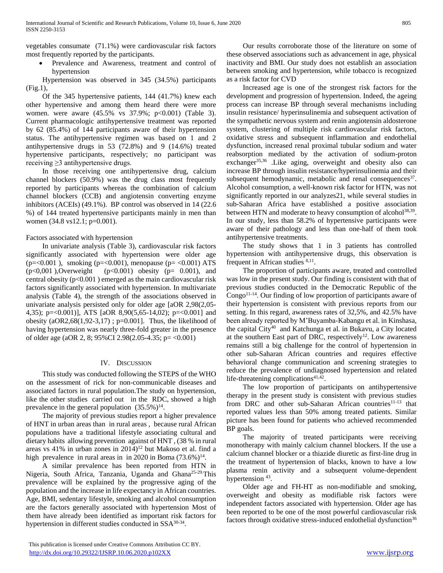vegetables consumate (71.1%) were cardiovascular risk factors most frequently reported by the participants.

 Prevalence and Awareness, treatment and control of hypertension

 Hypertension was observed in 345 (34.5%) participants (Fig.1),

 Of the 345 hypertensive patients, 144 (41.7%) knew each other hypertensive and among them heard there were more women. were aware (45.5% vs 37.9%; p<0.001) (Table 3). Current pharmacologic antihypertensive treatment was reported by 62 (85.4%) of 144 participants aware of their hypertension status. The antihypertensive regimen was based on 1 and 2 antihypertensive drugs in 53 (72.8%) and 9 (14.6%) treated hypertensive participants, respectively; no participant was receiving ≥3 antihypertensive drugs.

 In those receiving one antihypertensive drug, calcium channel blockers (50.9%) was the drug class most frequently reported by participants whereas the combination of calcium channel blockers (CCB) and angiotensin converting enzyme inhibitors (ACEIs) (49.1%). BP control was observed in 14 (22.6 %) of 144 treated hypertensive participants mainly in men than women (34.8 vs12.1; p=0.001).

#### Factors associated with hypertension

 In univariate analysis (Table 3), cardiovascular risk factors significantly associated with hypertension were older age (p=<0.001 ), smoking (p=<0.001), menopause (p= <0.001) ATS  $(p<0.001)$ , Overweight  $(p<0.001)$  obesity (p= 0.001), and central obesity  $(p<0.001)$  emerged as the main cardiovascular risk factors significantly associated with hypertension. In multivariate analysis (Table 4), the strength of the associations observed in univariate analysis persisted only for older age [aOR 2,98(2,05- 4,35); p=<0.001)], ATS [aOR 8,90(5,65-14,02); p=<0.001] and obesity  $(aOR2, 68(1, 92-3, 17)$ ;  $p=0.001$ ]. Thus, the likelihood of having hypertension was nearly three-fold greater in the presence of older age (aOR 2, 8; 95%CI 2.98(2.05-4.35; p= <0.001)

#### IV. DISCUSSION

 This study was conducted following the STEPS of the WHO on the assessment of rick for non-communicable diseases and associated factors in rural population.The study on hypertension, like the other studies carried out in the RDC, showed a high prevalence in the general population  $(35.5\%)^{14}$ .

 The majority of previous studies report a higher prevalence of HNT in urban areas than in rural areas , because rural African populations have a traditional lifestyle associating cultural and dietary habits allowing prevention against of HNT , (38 % in rural areas vs 41% in urban zones in 2014)<sup>12</sup> but Makoso et al. find a high prevalence in rural areas in in 2020 in Boma  $(73.6\%)^{14}$ .

 A similar prevalence has been reported from HTN in Nigeria, South Africa, Tanzania, Uganda and Ghana25-29.This prevalence will be explained by the progressive aging of the population and the increase in life expectancy in African countries. Age, BMI, sedentary lifestyle, smoking and alcohol consumption are the factors generally associated with hypertension Most of them have already been identified as important risk factors for hypertension in different studies conducted in SSA<sup>30-34</sup>.

 Our results corroborate those of the literature on some of these observed associations such as advancement in age, physical inactivity and BMI. Our study does not establish an association between smoking and hypertension, while tobacco is recognized as a risk factor for CVD

 Increased age is one of the strongest risk factors for the development and progression of hypertension. Indeed, the ageing process can increase BP through several mechanisms including insulin resistance/ hyperinsulinemia and subsequent activation of the sympathetic nervous system and renin angiotensin aldosterone system, clustering of multiple risk cardiovascular risk factors, oxidative stress and subsequent inflammation and endothelial dysfunction, increased renal proximal tubular sodium and water reabsorption mediated by the activation of sodium-proton exchanger<sup>35,36</sup> .Like aging, overweight and obesity also can increase BP through insulin resistance/hyperinsulinemia and their subsequent hemodynamic, metabolic and renal consequences $37$ . Alcohol consumption, a well-known risk factor for HTN, was not significantly reported in our analyzes21, while several studies in sub-Saharan Africa have established a positive association between HTN and moderate to heavy consumption of alcohol<sup>38,39</sup>. In our study, less than 58.2% of hypertensive participants were aware of their pathology and less than one-half of them took antihypertensive treatments.

 The study shows that 1 in 3 patients has controlled hypertension with antihypertensive drugs, this observation is frequent in African studies <sup>8,11</sup>.

 The proportion of participants aware, treated and controlled was low in the present study. Our finding is consistent with that of previous studies conducted in the Democratic Republic of the  $\text{Congol}^{11-14}$ . Our finding of low proportion of participants aware of their hypertension is consistent with previous reports from our setting. In this regard, awareness rates of 32,5%, and 42.5% have been already reported by M'Buyamba-Kabangu et al. in Kinshasa, the capital City<sup>40</sup> and Katchunga et al. in Bukavu, a City located at the southern East part of DRC, respectively<sup>12</sup>. Low awareness remains still a big challenge for the control of hypertension in other sub-Saharan African countries and requires effective behavioral change communication and screening strategies to reduce the prevalence of undiagnosed hypertension and related life-threatening complications<sup> $41,42$ </sup>.

 The low proportion of participants on antihypertensive therapy in the present study is consistent with previous studies from DRC and other sub-Saharan African countries<sup>11-13</sup> that reported values less than 50% among treated patients. Similar picture has been found for patients who achieved recommended BP goals.

 The majority of treated participants were receiving monotherapy with mainly calcium channel blockers. If the use a calcium channel blocker or a thiazide diuretic as first-line drug in the treatment of hypertension of blacks, known to have a low plasma renin activity and a subsequent volume-dependent hypertension <sup>43</sup>.

 Older age and FH-HT as non-modifiable and smoking, overweight and obesity as modifiable risk factors were independent factors associated with hypertension. Older age has been reported to be one of the most powerful cardiovascular risk factors through oxidative stress-induced endothelial dysfunction<sup>36</sup>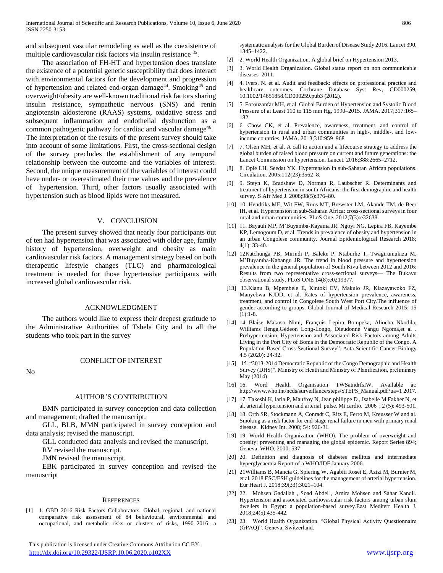and subsequent vascular remodeling as well as the coexistence of multiple cardiovascular risk factors via insulin resistance 35.

 The association of FH-HT and hypertension does translate the existence of a potential genetic susceptibility that does interact with environmental factors for the development and progression of hypertension and related end-organ damage<sup>44</sup>. Smoking<sup>45</sup> and overweight/obesity are well-known traditional risk factors sharing insulin resistance, sympathetic nervous (SNS) and renin angiotensin aldosterone (RAAS) systems, oxidative stress and subsequent inflammation and endothelial dysfunction as a common pathogenic pathway for cardiac and vascular damage<sup>46</sup>. The interpretation of the results of the present survey should take into account of some limitations. First, the cross-sectional design of the survey precludes the establishment of any temporal relationship between the outcome and the variables of interest. Second, the unique measurement of the variables of interest could have under- or overestimated their true values and the prevalence of hypertension. Third, other factors usually associated with hypertension such as blood lipids were not measured.

#### V. CONCLUSION

 The present survey showed that nearly four participants out of ten had hypertension that was associated with older age, family history of hypertension, overweight and obesity as main cardiovascular risk factors. A management strategy based on both therapeutic lifestyle changes (TLC) and pharmacological treatment is needed for those hypertensive participants with increased global cardiovascular risk.

#### ACKNOWLEDGMENT

 The authors would like to express their deepest gratitude to the Administrative Authorities of Tshela City and to all the students who took part in the survey

No

# CONFLICT OF INTEREST

#### AUTHOR'S CONTRIBUTION

 BMN participated in survey conception and data collection and management; drafted the manuscript.

 GLL, BLB, MMN participated in survey conception and data analysis; revised the manuscript.

GLL conducted data analysis and revised the manuscript.

RV revised the manuscript.

JMN revised the manuscript.

 EBK participated in survey conception and revised the manuscript

#### **REFERENCES**

[1] 1. GBD 2016 Risk Factors Collaborators. Global, regional, and national comparative risk assessment of 84 behavioural, environmental and occupational, and metabolic risks or clusters of risks, 1990–2016: a

 This publication is licensed under Creative Commons Attribution CC BY. <http://dx.doi.org/10.29322/IJSRP.10.06.2020.p102XX> [www.ijsrp.org](http://ijsrp.org/)

systematic analysis for the Global Burden of Disease Study 2016. Lancet 390, 1345–1422.

- [2] 2. World Health Organization. A global brief on Hypertension 2013.
- [3] 3. World Health Organization. Global status report on non communicable diseases 2011.
- [4] 4. Ivers, N. et al. Audit and feedback: effects on professional practice and healthcare outcomes. Cochrane Database Syst Rev, CD000259, 10.1002/14651858.CD000259.pub3 (2012).
- [5] 5. Forouzanfar MH, et al. Global Burden of Hypertension and Systolic Blood Pressure of at Least 110 to 115 mm Hg, 1990–2015. JAMA. 2017;317:165– 182.
- [6] 6. Chow CK, et al. Prevalence, awareness, treatment, and control of hypertension in rural and urban communities in high-, middle-, and lowincome countries. JAMA. 2013;310:959–968
- [7] 7. Olsen MH, et al. A call to action and a lifecourse strategy to address the global burden of raised blood pressure on current and future generations: the Lancet Commission on hypertension. Lancet. 2016;388:2665–2712.
- [8] 8. Opie LH, Seedat YK. Hypertension in sub-Saharan African populations. Circulation. 2005;112(23):3562–8.
- [9] 9. Steyn K, Bradshaw D, Norman R, Laubscher R. Determinants and treatment of hypertension in south Africans: the first demographic and health survey. S Afr Med J. 2008;98(5):376–80.
- [10] 10. Hendriks ME, Wit FW, Roos MT, Brewster LM, Akande TM, de Beer IH, et al. Hypertension in sub-Saharan Africa: cross-sectional surveys in four rural and urban communities. PLoS One. 2012;7(3):e32638.
- [11] 11. Bayauli MP, M'Buyamba-Kayama JR, Ngoyi NG, Lepira FB, Kayembe KP, Lemogoum D, et al. Trends in prevalence of obesity and hypertension in an urban Congolese community. Journal Epidemiological Research 2018; 4(1): 33-40.
- [12] 12Katchunga PB, Mirindi P, Baleke P, Ntaburhe T, Twagirumukiza M, M'Buyamba-Kabangu JR. The trend in blood pressure and hypertension prevalence in the general population of South Kivu between 2012 and 2016: Results from two representative cross-sectional surveys— The Bukavu observational study. PLoS ONE 14(8):e0219377.
- [13] 13.Kianu B, Mpembele E, Kintoki EV, Makulo JR, Kiazayawoko FZ, Manyebwa KJDD, et al. Rates of hypertension prevalence, awareness, treatment, and control in Congolese South West Port City.The influence of gender according to groups. Global Journal of Medical Research 2015; 15  $(1):1-8.$
- [14] 14 Blaise Makoso Nimi, François Lepira Bompeka, Aliocha Nkodila, Williams Ilenga,Gédeon Long-Longo, Dieudonné Vangu Ngoma,et al . Prehypertension, Hypertension and Associated Risk Factors among Adults Living in the Port City of Boma in the Democratic Republic of the Congo. A Population-Based Cross-Sectional Survey". Acta Scientific Cancer Biology 4.5 (2020): 24-32.
- [15] 15. "2013-2014 Democratic Republic of the Congo Demographic and Health Survey (DHS)". Ministry of Heath and Ministry of Planification, preliminary May (2014).
- [16] 16. Word Health Organisation TWSatndrfsIW, Available at: http://www.who.int/ncds/surveillance/steps/STEPS\_Manual.pdf?ua=1 2017.
- [17] 17. Takeshi K, laria P, Maufroy N, Jean philippe D , Isabelle M Fakher N, et al. arterial hypertension and arterial pulse. Mt cardio. 2006 ; 2 (5): 493-501.
- [18] 18. Orth SR, Stockmann A, Conradt C, Ritz E, Ferro M, Kreusser W and al. Smoking as a risk factor for end-stage renal failure in men with primary renal disease. Kidney Int. 2008; 54: 926-31.
- [19] 19. World Health Organization (WHO). The problem of overweight and obesity: preventing and managing the global epidemic. Report Series 894; Geneva, WHO, 2000: 537
- [20] 20. Definition and diagnosis of diabetes mellitus and intermediate hyperglycaemia Report of a WHO/IDF January 2006.
- [21] 21Williams B, Mancia G, Spiering W, Agabiti Rosei E, Azizi M, Burnier M, et al. 2018 ESC/ESH guidelines for the management of arterial hypertension. Eur Heart J. 2018;39(33):3021–104.
- [22] 22. Mohsen Gadallah , Soad Abdel , Amira Mohsen and Sahar Kandil. Hypertension and associated cardiovascular risk factors among urban slum dwellers in Egypt: a population-based survey.East Mediterr Health J. 2018;24(5):435-442.
- [23] 23. World Health Organization. "Global Physical Activity Questionnaire (GPAQ)". Geneva, Switzerland.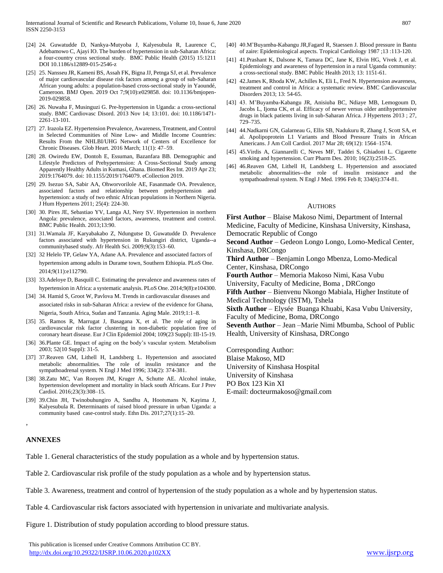- [24] 24. Guwatudde D, Nankya-Mutyoba J, Kalyesubula R, Laurence C, Adebamowo C, Ajayi IO. The burden of hypertension in sub-Saharan Africa: a four-country cross sectional study. BMC Public Health (2015) 15:1211 DOI 10.1186/s12889-015-2546-z
- [25] 25. Nansseu JR, Kameni BS, Assah FK, Bigna JJ, Petnga SJ, et al. Prevalence of major cardiovascular disease risk factors among a group of sub-Saharan African young adults: a population-based cross-sectional study in Yaoundé, Cameroon. BMJ Open. 2019 Oct 7;9(10):e029858. doi: 10.1136/bmjopen-2019-029858.
- [26] 26. Nuwaha F, Musinguzi G. Pre-hypertension in Uganda: a cross-sectional study. BMC Cardiovasc Disord. 2013 Nov 14; 13:101. doi: 10.1186/1471- 2261-13-101.
- [27] 27. Irazola EZ. Hypertension Prevalence, Awareness, Treatment, and Control in Selected Communities of Nine Low- and Middle Income Countries: Results From the NHLBI/UHG Network of Centers of Excellence for Chronic Diseases. Glob Heart. 2016 March; 11(1): 47–59.
- [28] 28. Owiredu EW, Dontoh E, Essuman, Bazanfara BB. Demographic and Lifestyle Predictors of Prehypertension: A Cross-Sectional Study among Apparently Healthy Adults in Kumasi, Ghana. Biomed Res Int. 2019 Apr 23; 2019:1764079. doi: 10.1155/2019/1764079. eCollection 2019.
- [29] 29. Isezuo SA, Sabir AA, Ohworvorilole AE, Fasanmade OA. Prevalence, associated factors and relationship between prehypertension and hypertension: a study of two ethnic African populations in Northern Nigeria. J Hum Hypertens 2011; 25(4): 224-30.
- [30] 30. Pires JE, Sebastiao YV, Langa AJ, Nery SV. Hypertension in northern Angola: prevalence, associated factors, awareness, treatment and control. BMC Public Health. 2013;13:90.
- [31] 31.Wamala JF, Karyabakabo Z, Ndungutse D, Guwatudde D. Prevalence factors associated with hypertension in Rukungiri district, Uganda--a communitybased study. Afr Health Sci. 2009;9(3):153–60.
- [32] 32 Helelo TP, Gelaw YA, Adane AA. Prevalence and associated factors of hypertension among adults in Durame town, Southern Ethiopia. PLoS One. 2014;9(11):e112790.
- [33] 33.Adeloye D, Basquill C. Estimating the prevalence and awareness rates of hypertension in Africa: a systematic analysis. PLoS One. 2014;9(8):e104300.
- [34] 34. Hamid S, Groot W, Pavlova M. Trends in cardiovascular diseases and associated risks in sub-Saharan Africa: a review of the evidence for Ghana, Nigeria, South Africa, Sudan and Tanzania. Aging Male. 2019;1:1–8.
- [35] 35. Ramos R, Marrugat J, Basagana X, et al. The role of aging in cardiovascular risk factor clustering in non-diabetic population free of coronary heart disease. Eur J Clin Epidemiol 2004; 109(23 Suppl): III-15-19.
- [36] 36.Plante GE. Impact of aging on the body's vascular system. Metabolism 2003; 52(10 Suppl): 31-5.
- [37] 37.Reaven GM, Lithell H, Landsberg L. Hypertension and associated metabolic abnormalities. The role of insulin resistance and the sympathoadrenal system. N Engl J Med 1996; 334(2): 374-381.
- [38] 38.Zatu MC, Van Rooyen JM, Kruger A, Schutte AE. Alcohol intake, hypertension development and mortality in black south Africans. Eur J Prev Cardiol. 2016;23(3):308–15.
- [39] 39.Chin JH, Twinobuhungiro A, Sandhu A, Hootsmans N, Kayima J, Kalyesubula R. Determinants of raised blood pressure in urban Uganda: a community based case-control study. Ethn Dis. 2017;27(1):15–20.

## **ANNEXES**

,

Table 1. General characteristics of the study population as a whole and by hypertension status.

Table 2. Cardiovascular risk profile of the study population as a whole and by hypertension status.

Table 3. Awareness, treatment and control of hypertension of the study population as a whole and by hypertension status.

Table 4. Cardiovascular risk factors associated with hypertension in univariate and multivariate analysis.

Figure 1. Distribution of study population according to blood pressure status.

 This publication is licensed under Creative Commons Attribution CC BY. <http://dx.doi.org/10.29322/IJSRP.10.06.2020.p102XX> [www.ijsrp.org](http://ijsrp.org/)

- [40] 40.M'Buyamba-Kabangu JR,Fagard R, Staessen J. Blood pressure in Bantu of zaire: Epidemiological aspects. Tropical Cardiology 1987 ;13 :113-120.
- [41] 41.Prashant K, Dalsone K, Tamara DC, Jane K, Elvin HG, Vivek J, et al. Epidemiology and awareness of hypertension in a rural Uganda community: a cross-sectional study. BMC Public Health 2013; 13: 1151-61.
- [42] 42.James K, Rhoda KW, Achilles K, Eli L, Fred N. Hypertension awareness, treatment and control in Africa: a systematic review. BMC Cardiovascular Disorders 2013; 13: 54-65.
- [43] 43. M'Buyamba-Kabangu JR, Anisiuba BC, Ndiaye MB, Lemogoum D, Jacobs L, Ijoma CK, et al. Efficacy of newer versus older antihypertensive drugs in black patients living in sub-Saharan Africa. J Hypertens 2013 ; 27, 729–735.
- [44] 44.Nadkarni GN, Galarneau G, Ellis SB, Nadukuru R, Zhang J, Scott SA, et al. Apolipoprotein L1 Variants and Blood Pressure Traits in African Americans. J Am Coll Cardiol. 2017 Mar 28; 69(12): 1564–1574.
- [45] 45.Virdis A, Giannarelli C, Neves MF, Taddei S, Ghiadoni L. Cigarette smoking and hypertension. Curr Pharm Des. 2010; 16(23):2518-25.
- [46] 46.Reaven GM, Lithell H, Landsberg L. Hypertension and associated metabolic abnormalities--the role of insulin resistance and the sympathoadrenal system. N Engl J Med. 1996 Feb 8; 334(6):374-81.

#### AUTHORS

**First Author** – Blaise Makoso Nimi, Department of Internal Medicine, Faculty of Medicine, Kinshasa University, Kinshasa, Democratic Republic of Congo

**Second Author** – Gedeon Longo Longo, Lomo-Medical Center, Kinshasa, DRCongo

**Third Author** – Benjamin Longo Mbenza, Lomo-Medical Center, Kinshasa, DRCongo

**Fourth Author** – Memoria Makoso Nimi, Kasa Vubu

University, Faculty of Medicine, Boma , DRCongo

**Fifth Author** – Bienvenu Nkongo Mabiala, Higher Institute of Medical Technology (ISTM), Tshela

**Sixth Author** – Elysée Buanga Khuabi, Kasa Vubu University, Faculty of Medicine, Boma, DRCongo

**Seventh Author** – Jean –Marie Nimi Mbumba, School of Public Health, University of Kinshasa, DRCongo

Corresponding Author: Blaise Makoso, MD University of Kinshasa Hospital University of Kinshasa PO Box 123 Kin XI E-mail: docteurmakoso@gmail.com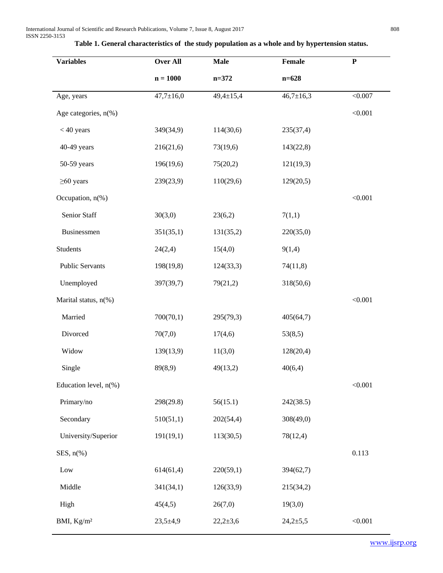| <b>Variables</b>                    | <b>Over All</b> | <b>Male</b> | Female          | ${\bf P}$ |
|-------------------------------------|-----------------|-------------|-----------------|-----------|
|                                     | $n = 1000$      | $n = 372$   | $n = 628$       |           |
| Age, years                          | $47,7 \pm 16,0$ | 49,4±15,4   | $46,7 \pm 16,3$ | < 0.007   |
| Age categories, n(%)                |                 |             |                 | < 0.001   |
| $< 40$ years                        | 349(34,9)       | 114(30,6)   | 235(37,4)       |           |
| 40-49 years                         | 216(21,6)       | 73(19,6)    | 143(22,8)       |           |
| 50-59 years                         | 196(19,6)       | 75(20,2)    | 121(19,3)       |           |
| $\geq 60$ years                     | 239(23,9)       | 110(29,6)   | 129(20,5)       |           |
| Occupation, n(%)                    |                 |             |                 | < 0.001   |
| Senior Staff                        | 30(3,0)         | 23(6,2)     | 7(1,1)          |           |
| Businessmen                         | 351(35,1)       | 131(35,2)   | 220(35,0)       |           |
| Students                            | 24(2,4)         | 15(4,0)     | 9(1,4)          |           |
| <b>Public Servants</b>              | 198(19,8)       | 124(33,3)   | 74(11,8)        |           |
| Unemployed                          | 397(39,7)       | 79(21,2)    | 318(50,6)       |           |
| Marital status, n(%)                |                 |             |                 | < 0.001   |
| Married                             | 700(70,1)       | 295(79,3)   | 405(64,7)       |           |
| Divorced                            | 70(7,0)         | 17(4,6)     | 53(8,5)         |           |
| Widow                               | 139(13,9)       | 11(3,0)     | 128(20,4)       |           |
| Single                              | 89(8,9)         | 49(13,2)    | 40(6,4)         |           |
| Education level, $n$ <sup>(%)</sup> |                 |             |                 | < 0.001   |
| Primary/no                          | 298(29.8)       | 56(15.1)    | 242(38.5)       |           |
| Secondary                           | 510(51,1)       | 202(54,4)   | 308(49,0)       |           |
| University/Superior                 | 191(19,1)       | 113(30,5)   | 78(12,4)        |           |
| SES, $n$ (%)                        |                 |             |                 | 0.113     |
| Low                                 | 614(61,4)       | 220(59,1)   | 394(62,7)       |           |
| Middle                              | 341(34,1)       | 126(33,9)   | 215(34,2)       |           |
| High                                | 45(4,5)         | 26(7,0)     | 19(3,0)         |           |
| BMI, Kg/m <sup>2</sup>              | $23,5+4,9$      | $22,2+3,6$  | $24,2{\pm}5,5$  | < 0.001   |

### **Table 1. General characteristics of the study population as a whole and by hypertension status.**

[www.ijsrp.org](http://ijsrp.org/)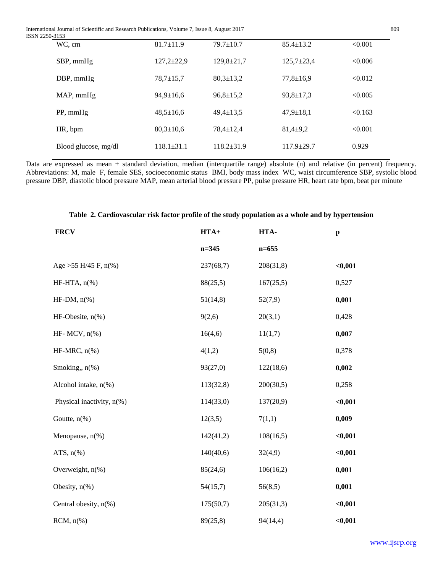International Journal of Scientific and Research Publications, Volume 7, Issue 8, August 2017 809 **ISSN 22** 

| 250-3153             |                  |                  |                  |         |
|----------------------|------------------|------------------|------------------|---------|
| WC. cm               | $81.7 \pm 11.9$  | $79.7 \pm 10.7$  | $85.4 \pm 13.2$  | < 0.001 |
| SBP, mmHg            | $127.2 \pm 22.9$ | $129.8 \pm 21.7$ | $125.7 \pm 23.4$ | < 0.006 |
| DBP, mmHg            | $78.7 \pm 15.7$  | $80.3 \pm 13.2$  | $77.8 \pm 16.9$  | < 0.012 |
| MAP, mmHg            | $94.9 \pm 16.6$  | $96,8 \pm 15,2$  | $93.8 \pm 17.3$  | < 0.005 |
| PP, mmHg             | $48,5 \pm 16,6$  | $49,4 \pm 13,5$  | $47.9 \pm 18.1$  | < 0.163 |
| HR, bpm              | $80.3 \pm 10.6$  | $78.4 \pm 12.4$  | $81,4+9,2$       | < 0.001 |
| Blood glucose, mg/dl | $118.1 \pm 31.1$ | $118.2 \pm 31.9$ | $117.9 \pm 29.7$ | 0.929   |
|                      |                  |                  |                  |         |

Data are expressed as mean ± standard deviation, median (interquartile range) absolute (n) and relative (in percent) frequency. Abbreviations: M, male F, female SES, socioeconomic status BMI, body mass index WC, waist circumference SBP, systolic blood pressure DBP, diastolic blood pressure MAP, mean arterial blood pressure PP, pulse pressure HR, heart rate bpm, beat per minute

#### **Table 2. Cardiovascular risk factor profile of the study population as a whole and by hypertension**

| <b>FRCV</b>                | $HTA+$    | HTA-      | $\mathbf{p}$ |
|----------------------------|-----------|-----------|--------------|
|                            | $n = 345$ | $n=655$   |              |
| Age > 55 H/45 F, $n\%$ )   | 237(68,7) | 208(31,8) | $0,001$      |
| $HF-HTA, n(\%)$            | 88(25,5)  | 167(25,5) | 0,527        |
| HF-DM, $n$ <sup>(%)</sup>  | 51(14,8)  | 52(7,9)   | 0,001        |
| HF-Obesite, $n$ (%)        | 9(2,6)    | 20(3,1)   | 0,428        |
| HF- MCV, $n\%$ )           | 16(4,6)   | 11(1,7)   | 0,007        |
| HF-MRC, $n$ <sup>(%)</sup> | 4(1,2)    | 5(0,8)    | 0,378        |
| Smoking,, n(%)             | 93(27,0)  | 122(18,6) | 0,002        |
| Alcohol intake, n(%)       | 113(32,8) | 200(30,5) | 0,258        |
| Physical inactivity, n(%)  | 114(33,0) | 137(20,9) | $0,001$      |
| Goutte, $n\%$ )            | 12(3,5)   | 7(1,1)    | 0,009        |
| Menopause, n(%)            | 142(41,2) | 108(16,5) | $0,001$      |
| ATS, $n\frac{6}{6}$        | 140(40,6) | 32(4,9)   | $0,001$      |
| Overweight, n(%)           | 85(24,6)  | 106(16,2) | 0,001        |
| Obesity, $n$ (%)           | 54(15,7)  | 56(8,5)   | 0,001        |
| Central obesity, $n(\%)$   | 175(50,7) | 205(31,3) | $0,001$      |
| $RCM, n$ (%)               | 89(25,8)  | 94(14,4)  | $0,001$      |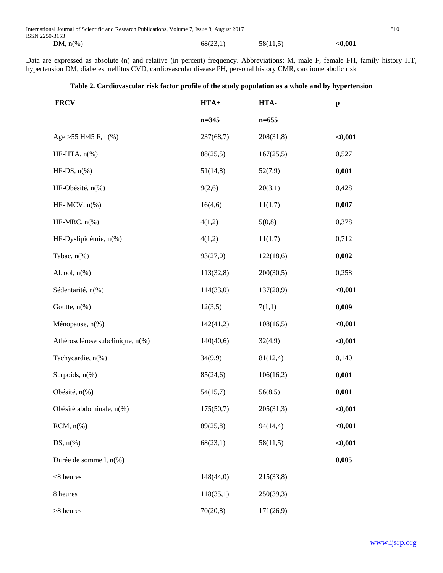| International Journal of Scientific and Research Publications, Volume 7, Issue 8, August 2017 |          |          |              |  |
|-----------------------------------------------------------------------------------------------|----------|----------|--------------|--|
| ISSN 2250-3153                                                                                |          |          |              |  |
| $DM, n\%$                                                                                     | 68(23,1) | 58(11,5) | $<\!\!0.001$ |  |

Data are expressed as absolute (n) and relative (in percent) frequency. Abbreviations: M, male F, female FH, family history HT, hypertension DM, diabetes mellitus CVD, cardiovascular disease PH, personal history CMR, cardiometabolic risk

#### **Table 2. Cardiovascular risk factor profile of the study population as a whole and by hypertension**

| <b>FRCV</b>                      | $HTA+$    | HTA-      | $\mathbf{p}$ |
|----------------------------------|-----------|-----------|--------------|
|                                  | $n = 345$ | $n=655$   |              |
| Age > 55 H/45 F, $n\%$ )         | 237(68,7) | 208(31,8) | $0,001$      |
| $HF-HTA, n(\%)$                  | 88(25,5)  | 167(25,5) | 0,527        |
| HF-DS, $n$ (%)                   | 51(14,8)  | 52(7,9)   | 0,001        |
| HF-Obésité, n(%)                 | 9(2,6)    | 20(3,1)   | 0,428        |
| HF-MCV, $n$ <sup>(%)</sup>       | 16(4,6)   | 11(1,7)   | 0,007        |
| HF-MRC, $n$ <sup>(%)</sup>       | 4(1,2)    | 5(0,8)    | 0,378        |
| HF-Dyslipidémie, n(%)            | 4(1,2)    | 11(1,7)   | 0,712        |
| Tabac, $n\frac{6}{6}$            | 93(27,0)  | 122(18,6) | 0,002        |
| Alcool, n(%)                     | 113(32,8) | 200(30,5) | 0,258        |
| Sédentarité, n(%)                | 114(33,0) | 137(20,9) | $0,001$      |
| Goutte, n(%)                     | 12(3,5)   | 7(1,1)    | 0,009        |
| Ménopause, n(%)                  | 142(41,2) | 108(16,5) | $0,001$      |
| Athérosclérose subclinique, n(%) | 140(40,6) | 32(4,9)   | $0,001$      |
| Tachycardie, n(%)                | 34(9,9)   | 81(12,4)  | 0,140        |
| Surpoids, n(%)                   | 85(24,6)  | 106(16,2) | 0,001        |
| Obésité, n(%)                    | 54(15,7)  | 56(8,5)   | 0,001        |
| Obésité abdominale, n(%)         | 175(50,7) | 205(31,3) | <,0.001      |
| $RCM, n$ (%)                     | 89(25,8)  | 94(14,4)  | <,0.001      |
| DS, $n\left(\%\right)$           | 68(23,1)  | 58(11,5)  | <,0.001      |
| Durée de sommeil, n(%)           |           |           | 0,005        |
| $<$ 8 heures                     | 148(44,0) | 215(33,8) |              |
| 8 heures                         | 118(35,1) | 250(39,3) |              |
| >8 heures                        | 70(20,8)  | 171(26,9) |              |

[www.ijsrp.org](http://ijsrp.org/)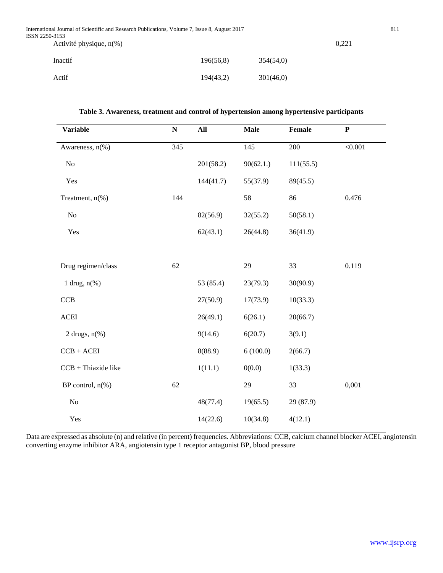International Journal of Scientific and Research Publications, Volume 7, Issue 8, August 2017 811 ISSN 2250-3153

Activité physique, n(%) 0,221

| Inactif | 196(56,8) | 354(54,0) |
|---------|-----------|-----------|
| Actif   | 194(43,2) | 301(46,0) |

| <b>Variable</b>                                 | ${\bf N}$       | All       | <b>Male</b>      | Female    | ${\bf P}$      |
|-------------------------------------------------|-----------------|-----------|------------------|-----------|----------------|
| Awareness, n(%)                                 | $\frac{345}{ }$ |           | $\overline{145}$ | 200       | $\sqrt{0.001}$ |
| $\rm No$                                        |                 | 201(58.2) | 90(62.1.)        | 111(55.5) |                |
| Yes                                             |                 | 144(41.7) | 55(37.9)         | 89(45.5)  |                |
| Treatment, n(%)                                 | 144             |           | 58               | 86        | 0.476          |
| $\rm No$                                        |                 | 82(56.9)  | 32(55.2)         | 50(58.1)  |                |
| Yes                                             |                 | 62(43.1)  | 26(44.8)         | 36(41.9)  |                |
|                                                 |                 |           |                  |           |                |
| Drug regimen/class                              | 62              |           | 29               | 33        | 0.119          |
| 1 drug, $n$ <sup>(%)</sup>                      |                 | 53 (85.4) | 23(79.3)         | 30(90.9)  |                |
| CCB                                             |                 | 27(50.9)  | 17(73.9)         | 10(33.3)  |                |
| $\boldsymbol{\Lambda}\boldsymbol{\mathrm{CEI}}$ |                 | 26(49.1)  | 6(26.1)          | 20(66.7)  |                |
| 2 drugs, $n$ <sup>(%)</sup>                     |                 | 9(14.6)   | 6(20.7)          | 3(9.1)    |                |
| $CCB + ACEI$                                    |                 | 8(88.9)   | 6(100.0)         | 2(66.7)   |                |
| $CCB + Thiazide like$                           |                 | 1(11.1)   | 0(0.0)           | 1(33.3)   |                |
| BP control, $n$ <sup>(%)</sup>                  | 62              |           | 29               | 33        | 0,001          |
| $\rm No$                                        |                 | 48(77.4)  | 19(65.5)         | 29 (87.9) |                |
| Yes                                             |                 | 14(22.6)  | 10(34.8)         | 4(12.1)   |                |

Data are expressed as absolute (n) and relative (in percent) frequencies. Abbreviations: CCB, calcium channel blocker ACEI, angiotensin converting enzyme inhibitor ARA, angiotensin type 1 receptor antagonist BP, blood pressure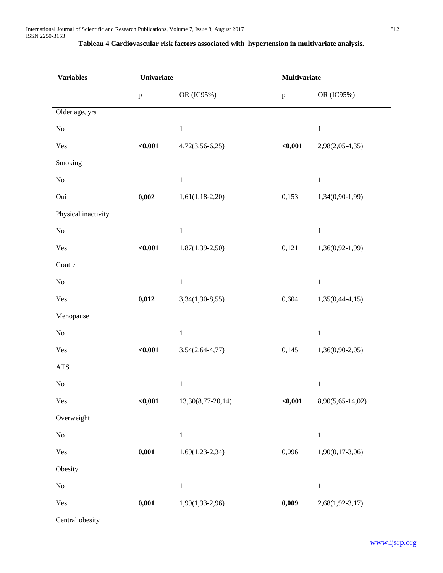| <b>Variables</b>    | Univariate   |                     | <b>Multivariate</b> |                   |
|---------------------|--------------|---------------------|---------------------|-------------------|
|                     | $\, {\bf p}$ | OR (IC95%)          | $\, {\bf p}$        | OR (IC95%)        |
| Older age, yrs      |              |                     |                     |                   |
| $\rm No$            |              | $\mathbf 1$         |                     | $\,1\,$           |
| Yes                 | $0,001$      | $4,72(3,56-6,25)$   | $0,001$             | 2,98(2,05-4,35)   |
| Smoking             |              |                     |                     |                   |
| $\rm No$            |              | $\,1$               |                     | $\,1\,$           |
| Oui                 | 0,002        | $1,61(1,18-2,20)$   | 0,153               | 1,34(0,90-1,99)   |
| Physical inactivity |              |                     |                     |                   |
| $\rm No$            |              | $\,1$               |                     | $\,1\,$           |
| Yes                 | $0,001$      | $1,87(1,39-2,50)$   | 0,121               | $1,36(0,92-1,99)$ |
| Goutte              |              |                     |                     |                   |
| $\rm No$            |              | $\mathbf{1}$        |                     | $\,1\,$           |
| Yes                 | 0,012        | $3,34(1,30-8,55)$   | 0,604               | $1,35(0,44-4,15)$ |
| Menopause           |              |                     |                     |                   |
| $\rm No$            |              | $\,1$               |                     | $\,1\,$           |
| Yes                 | $0,001$      | $3,54(2,64-4,77)$   | 0,145               | $1,36(0,90-2,05)$ |
| <b>ATS</b>          |              |                     |                     |                   |
| $\rm No$            |              | $\,1$               |                     | $\,1\,$           |
| Yes                 | $0,001$      | $13,30(8,77-20,14)$ | $0,001$             | 8,90(5,65-14,02)  |
| Overweight          |              |                     |                     |                   |
| No                  |              | $\mathbf{1}$        |                     | $\,1\,$           |
| Yes                 | 0,001        | $1,69(1,23-2,34)$   | 0,096               | $1,90(0,17-3,06)$ |
| Obesity             |              |                     |                     |                   |
| $\rm No$            |              | $\mathbf{1}$        |                     | $\,1\,$           |
| Yes                 | 0,001        | 1,99(1,33-2,96)     | 0,009               | $2,68(1,92-3,17)$ |

Central obesity